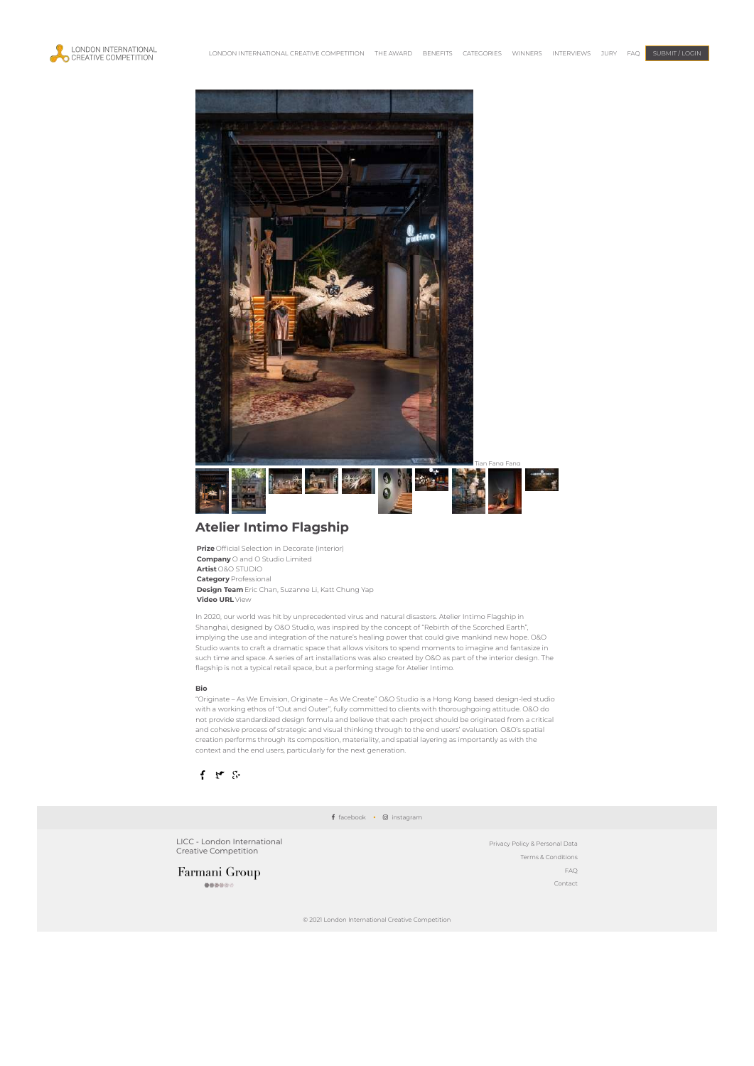



## **Atelier Intimo Flagship**

**Prize** Official Selection in Decorate (interior) **Company** O and O Studio Limited **Artist** O&O STUDIO **Category** Professional **Design Team** Eric Chan, Suzanne Li, Katt Chung Yap **Video URL** [View](https://www.oandostudio.com/intimoflagship)

In 2020, our world was hit by unprecedented virus and natural disasters. Atelier Intimo Flagship in Shanghai, designed by O&O Studio, was inspired by the concept of "Rebirth of the Scorched Earth", implying the use and integration of the nature's healing power that could give mankind new hope. O&O Studio wants to craft a dramatic space that allows visitors to spend moments to imagine and fantasize in such time and space. A series of art installations was also created by O&O as part of the interior design. The flagship is not a typical retail space, but a performing stage for Atelier Intimo.

## **Bio**

"Originate – As We Envision, Originate – As We Create" O&O Studio is a Hong Kong based design-led studio with a working ethos of "Out and Outer", fully committed to clients with thoroughgoing attitude. O&O do not provide standardized design formula and believe that each project should be originated from a critical and cohesive process of strategic and visual thinking through to the end users' evaluation. O&O's spatial creation performs through its composition, materiality, and spatial layering as importantly as with the context and the end users, particularly for the next generation.



f [facebook](https://www.facebook.com/LondonCreativeAwards/) · @ [instagram](https://www.instagram.com/licc_award/)

LICC - London International<br>Creative Competition

Farmani Group  $000000$ 

Privacy Policy & [Personal](https://licc.uk/privacy-policy-personal-data/) Data Terms & [Conditions](https://licc.uk/terms-conditions/) [FAQ](https://licc.uk/faq/) [Contact](https://licc.uk/contact/)

© 2021 London International Creative Competition